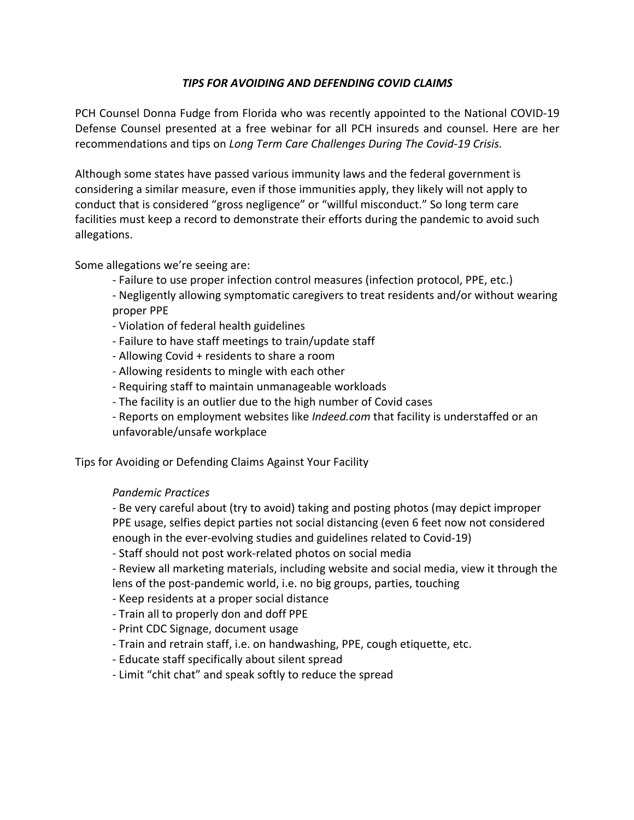## *TIPS FOR AVOIDING AND DEFENDING COVID CLAIMS*

PCH Counsel Donna Fudge from Florida who was recently appointed to the National COVID-19 Defense Counsel presented at a free webinar for all PCH insureds and counsel. Here are her recommendations and tips on *Long Term Care Challenges During The Covid-19 Crisis.*

Although some states have passed various immunity laws and the federal government is considering a similar measure, even if those immunities apply, they likely will not apply to conduct that is considered "gross negligence" or "willful misconduct." So long term care facilities must keep a record to demonstrate their efforts during the pandemic to avoid such allegations.

Some allegations we're seeing are:

- Failure to use proper infection control measures (infection protocol, PPE, etc.)
- Negligently allowing symptomatic caregivers to treat residents and/or without wearing proper PPE
- Violation of federal health guidelines
- Failure to have staff meetings to train/update staff
- Allowing Covid + residents to share a room
- Allowing residents to mingle with each other
- Requiring staff to maintain unmanageable workloads
- The facility is an outlier due to the high number of Covid cases
- Reports on employment websites like *Indeed.com* that facility is understaffed or an unfavorable/unsafe workplace

Tips for Avoiding or Defending Claims Against Your Facility

## *Pandemic Practices*

- Be very careful about (try to avoid) taking and posting photos (may depict improper PPE usage, selfies depict parties not social distancing (even 6 feet now not considered enough in the ever-evolving studies and guidelines related to Covid-19)

- Staff should not post work-related photos on social media

- Review all marketing materials, including website and social media, view it through the lens of the post-pandemic world, i.e. no big groups, parties, touching

- Keep residents at a proper social distance
- Train all to properly don and doff PPE
- Print CDC Signage, document usage
- Train and retrain staff, i.e. on handwashing, PPE, cough etiquette, etc.
- Educate staff specifically about silent spread
- Limit "chit chat" and speak softly to reduce the spread